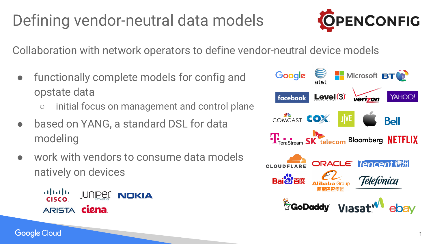# Defining vendor-neutral data models



Collaboration with network operators to define vendor-neutral device models

- functionally complete models for config and opstate data
	- initial focus on management and control plane
- based on YANG, a standard DSL for data modeling
- work with vendors to consume data models natively on devices

afnifn **JUNIPER NOKIA CISCO** ARISTA **CLEna** 

**Google Cloud** 



1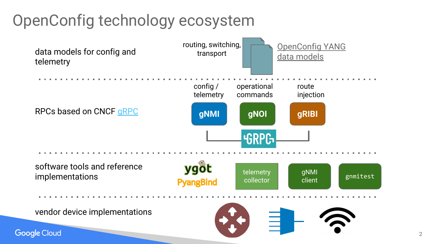## OpenConfig technology ecosystem

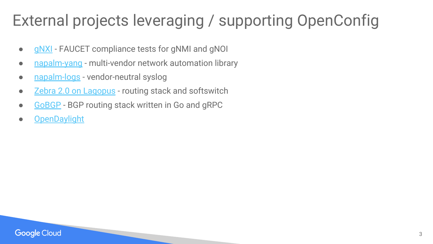### External projects leveraging / supporting OpenConfig

- [gNXI](https://github.com/google/gnxi) FAUCET compliance tests for gNMI and gNOI
- [napalm-yang](https://napalm-yang.readthedocs.io/en/latest/root/supported_models/index.html) multi-vendor network automation library
- [napalm-logs](http://napalm-logs.readthedocs.io/en/latest/)  vendor-neutral syslog
- [Zebra 2.0 on Lagopus](https://www.netdevconf.org/1.1/proceedings/papers/Zebra-2-0-and-Lagopus.pdf) routing stack and softswitch
- [GoBGP](https://ripe71.ripe.net/presentations/135-RIPE71_GoBGP.pdf)  BGP routing stack written in Go and gRPC
- [OpenDaylight](https://www.opendaylight.org/)

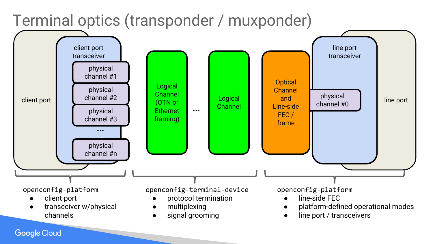

### **Google Cloud**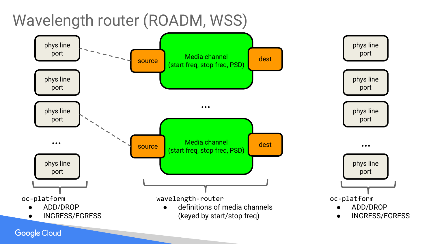

**Google Cloud**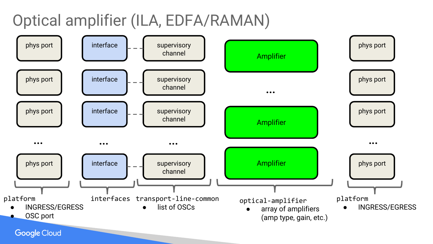Optical amplifier (ILA, EDFA/RAMAN)

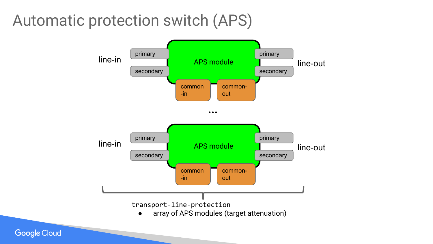### Automatic protection switch (APS)



**Google Cloud**